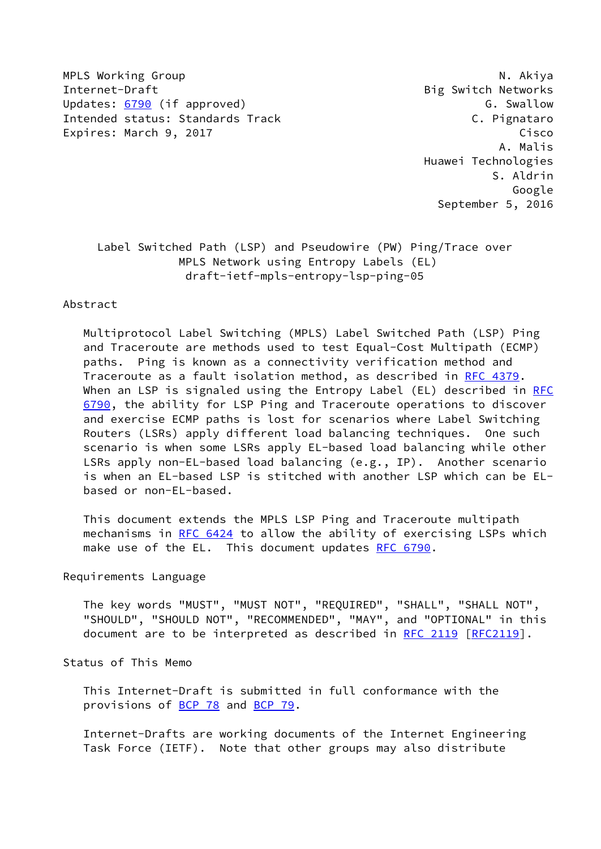MPLS Working Group **N. Akiya** N. Akiya Internet-Draft **Big Switch Networks** Updates: [6790](https://datatracker.ietf.org/doc/pdf/rfc6790) (if approved) COME CONSERVITY CONSUMING SWALLOW Intended status: Standards Track C. Pignataro Expires: March 9, 2017 Cisco

 A. Malis Huawei Technologies S. Aldrin Google September 5, 2016

 Label Switched Path (LSP) and Pseudowire (PW) Ping/Trace over MPLS Network using Entropy Labels (EL) draft-ietf-mpls-entropy-lsp-ping-05

#### Abstract

 Multiprotocol Label Switching (MPLS) Label Switched Path (LSP) Ping and Traceroute are methods used to test Equal-Cost Multipath (ECMP) paths. Ping is known as a connectivity verification method and Traceroute as a fault isolation method, as described in [RFC 4379](https://datatracker.ietf.org/doc/pdf/rfc4379). When an LSP is signaled using the Entropy Label (EL) described in [RFC](https://datatracker.ietf.org/doc/pdf/rfc6790) [6790](https://datatracker.ietf.org/doc/pdf/rfc6790), the ability for LSP Ping and Traceroute operations to discover and exercise ECMP paths is lost for scenarios where Label Switching Routers (LSRs) apply different load balancing techniques. One such scenario is when some LSRs apply EL-based load balancing while other LSRs apply non-EL-based load balancing (e.g., IP). Another scenario is when an EL-based LSP is stitched with another LSP which can be EL based or non-EL-based.

 This document extends the MPLS LSP Ping and Traceroute multipath mechanisms in [RFC 6424](https://datatracker.ietf.org/doc/pdf/rfc6424) to allow the ability of exercising LSPs which make use of the EL. This document updates [RFC 6790.](https://datatracker.ietf.org/doc/pdf/rfc6790)

### Requirements Language

 The key words "MUST", "MUST NOT", "REQUIRED", "SHALL", "SHALL NOT", "SHOULD", "SHOULD NOT", "RECOMMENDED", "MAY", and "OPTIONAL" in this document are to be interpreted as described in [RFC 2119 \[RFC2119](https://datatracker.ietf.org/doc/pdf/rfc2119)].

Status of This Memo

 This Internet-Draft is submitted in full conformance with the provisions of [BCP 78](https://datatracker.ietf.org/doc/pdf/bcp78) and [BCP 79](https://datatracker.ietf.org/doc/pdf/bcp79).

 Internet-Drafts are working documents of the Internet Engineering Task Force (IETF). Note that other groups may also distribute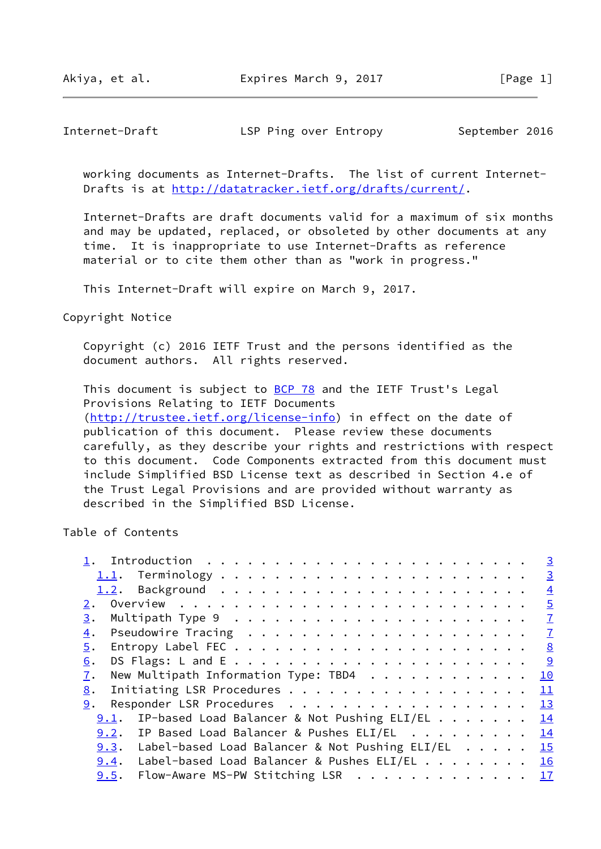Akiya, et al. **Expires March 9, 2017** [Page 1]

Internet-Draft LSP Ping over Entropy September 2016

 working documents as Internet-Drafts. The list of current Internet- Drafts is at<http://datatracker.ietf.org/drafts/current/>.

 Internet-Drafts are draft documents valid for a maximum of six months and may be updated, replaced, or obsoleted by other documents at any time. It is inappropriate to use Internet-Drafts as reference material or to cite them other than as "work in progress."

This Internet-Draft will expire on March 9, 2017.

Copyright Notice

 Copyright (c) 2016 IETF Trust and the persons identified as the document authors. All rights reserved.

This document is subject to **[BCP 78](https://datatracker.ietf.org/doc/pdf/bcp78)** and the IETF Trust's Legal Provisions Relating to IETF Documents [\(http://trustee.ietf.org/license-info](http://trustee.ietf.org/license-info)) in effect on the date of publication of this document. Please review these documents carefully, as they describe your rights and restrictions with respect to this document. Code Components extracted from this document must include Simplified BSD License text as described in Section 4.e of the Trust Legal Provisions and are provided without warranty as described in the Simplified BSD License.

Table of Contents

|                                                        |  |  | $\overline{3}$ |
|--------------------------------------------------------|--|--|----------------|
|                                                        |  |  | $\overline{3}$ |
|                                                        |  |  | $\overline{4}$ |
|                                                        |  |  | $\overline{5}$ |
| 3.                                                     |  |  |                |
| 4.                                                     |  |  |                |
| 5.                                                     |  |  |                |
| 6.                                                     |  |  |                |
| New Multipath Information Type: TBD4 10<br>7.          |  |  |                |
| Initiating LSR Procedures 11<br>8.                     |  |  |                |
| Responder LSR Procedures 13<br>9.                      |  |  |                |
| 9.1. IP-based Load Balancer & Not Pushing ELI/EL 14    |  |  |                |
| 9.2. IP Based Load Balancer & Pushes ELI/EL 14         |  |  |                |
| 9.3. Label-based Load Balancer & Not Pushing ELI/EL 15 |  |  |                |
| 9.4. Label-based Load Balancer & Pushes ELI/EL 16      |  |  |                |
| Flow-Aware MS-PW Stitching LSR 17<br>9.5.              |  |  |                |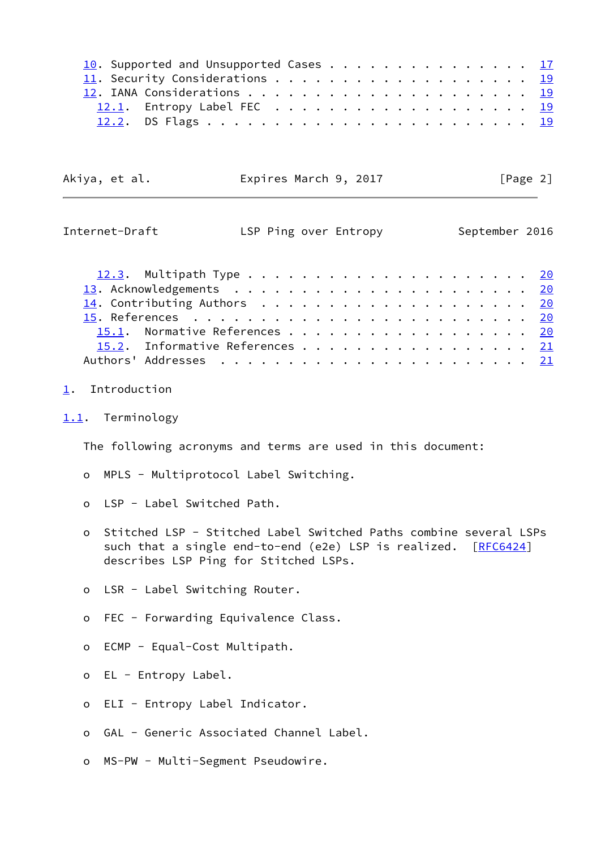|  | 10. Supported and Unsupported Cases 17 |  |  |  |  |  |  |  |  |  |  |
|--|----------------------------------------|--|--|--|--|--|--|--|--|--|--|
|  |                                        |  |  |  |  |  |  |  |  |  |  |
|  |                                        |  |  |  |  |  |  |  |  |  |  |
|  |                                        |  |  |  |  |  |  |  |  |  |  |
|  |                                        |  |  |  |  |  |  |  |  |  |  |

Akiya, et al. **Expires March 9, 2017** [Page 2]

<span id="page-2-1"></span>

| Internet-Draft                       | LSP Ping over Entropy |  |  |  |  |  |  |  |  |  |  | September 2016 |
|--------------------------------------|-----------------------|--|--|--|--|--|--|--|--|--|--|----------------|
|                                      |                       |  |  |  |  |  |  |  |  |  |  |                |
|                                      |                       |  |  |  |  |  |  |  |  |  |  |                |
| 14. Contributing Authors $\ldots$ 20 |                       |  |  |  |  |  |  |  |  |  |  |                |
|                                      |                       |  |  |  |  |  |  |  |  |  |  |                |
| 15.1. Normative References 20        |                       |  |  |  |  |  |  |  |  |  |  |                |
| 15.2. Informative References 21      |                       |  |  |  |  |  |  |  |  |  |  |                |
|                                      |                       |  |  |  |  |  |  |  |  |  |  |                |

## <span id="page-2-0"></span>[1](#page-2-0). Introduction

<span id="page-2-2"></span>[1.1](#page-2-2). Terminology

The following acronyms and terms are used in this document:

- o MPLS Multiprotocol Label Switching.
- o LSP Label Switched Path.
- o Stitched LSP Stitched Label Switched Paths combine several LSPs such that a single end-to-end (e2e) LSP is realized. [\[RFC6424](https://datatracker.ietf.org/doc/pdf/rfc6424)] describes LSP Ping for Stitched LSPs.
- o LSR Label Switching Router.
- o FEC Forwarding Equivalence Class.
- o ECMP Equal-Cost Multipath.
- o EL Entropy Label.
- o ELI Entropy Label Indicator.
- o GAL Generic Associated Channel Label.
- o MS-PW Multi-Segment Pseudowire.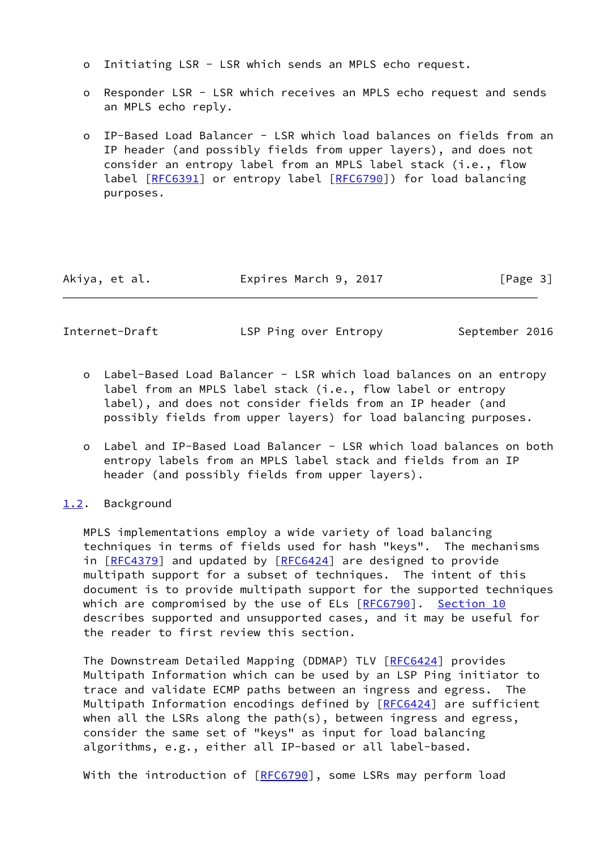- o Initiating LSR LSR which sends an MPLS echo request.
- o Responder LSR LSR which receives an MPLS echo request and sends an MPLS echo reply.
- o IP-Based Load Balancer LSR which load balances on fields from an IP header (and possibly fields from upper layers), and does not consider an entropy label from an MPLS label stack (i.e., flow label [\[RFC6391](https://datatracker.ietf.org/doc/pdf/rfc6391)] or entropy label [\[RFC6790](https://datatracker.ietf.org/doc/pdf/rfc6790)]) for load balancing purposes.

Akiya, et al. Expires March 9, 2017 [Page 3]

<span id="page-3-1"></span>Internet-Draft LSP Ping over Entropy September 2016

- o Label-Based Load Balancer LSR which load balances on an entropy label from an MPLS label stack (i.e., flow label or entropy label), and does not consider fields from an IP header (and possibly fields from upper layers) for load balancing purposes.
- o Label and IP-Based Load Balancer LSR which load balances on both entropy labels from an MPLS label stack and fields from an IP header (and possibly fields from upper layers).

# <span id="page-3-0"></span>[1.2](#page-3-0). Background

 MPLS implementations employ a wide variety of load balancing techniques in terms of fields used for hash "keys". The mechanisms in [[RFC4379\]](https://datatracker.ietf.org/doc/pdf/rfc4379) and updated by [\[RFC6424](https://datatracker.ietf.org/doc/pdf/rfc6424)] are designed to provide multipath support for a subset of techniques. The intent of this document is to provide multipath support for the supported techniques which are compromised by the use of ELs [\[RFC6790](https://datatracker.ietf.org/doc/pdf/rfc6790)]. [Section 10](#page-18-2) describes supported and unsupported cases, and it may be useful for the reader to first review this section.

The Downstream Detailed Mapping (DDMAP) TLV [\[RFC6424](https://datatracker.ietf.org/doc/pdf/rfc6424)] provides Multipath Information which can be used by an LSP Ping initiator to trace and validate ECMP paths between an ingress and egress. The Multipath Information encodings defined by [[RFC6424\]](https://datatracker.ietf.org/doc/pdf/rfc6424) are sufficient when all the LSRs along the path(s), between ingress and egress, consider the same set of "keys" as input for load balancing algorithms, e.g., either all IP-based or all label-based.

With the introduction of [\[RFC6790](https://datatracker.ietf.org/doc/pdf/rfc6790)], some LSRs may perform load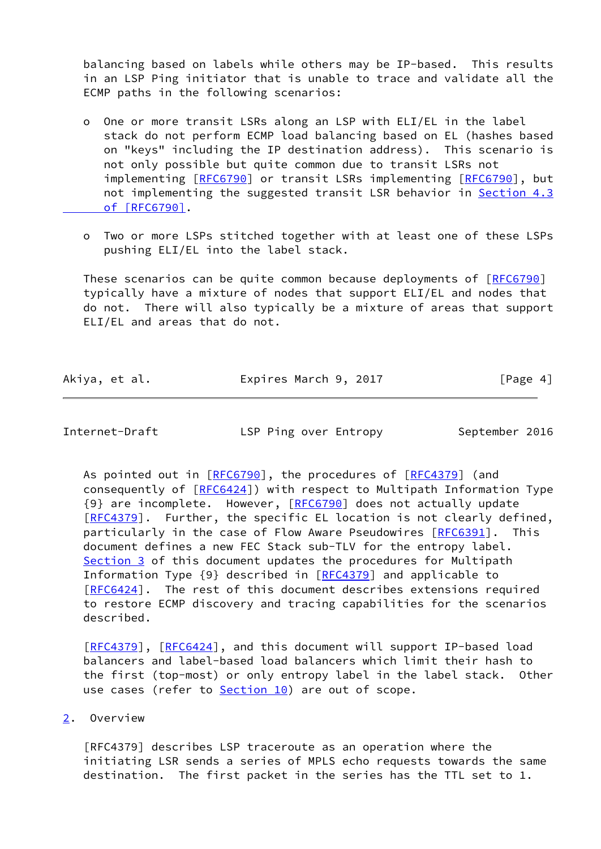balancing based on labels while others may be IP-based. This results in an LSP Ping initiator that is unable to trace and validate all the ECMP paths in the following scenarios:

- o One or more transit LSRs along an LSP with ELI/EL in the label stack do not perform ECMP load balancing based on EL (hashes based on "keys" including the IP destination address). This scenario is not only possible but quite common due to transit LSRs not implementing [\[RFC6790](https://datatracker.ietf.org/doc/pdf/rfc6790)] or transit LSRs implementing [RFC6790], but not implementing the suggested transit LSR behavior in [Section](https://datatracker.ietf.org/doc/pdf/rfc6790#section-4.3) 4.3  [of \[RFC6790\].](https://datatracker.ietf.org/doc/pdf/rfc6790#section-4.3)
- o Two or more LSPs stitched together with at least one of these LSPs pushing ELI/EL into the label stack.

 These scenarios can be quite common because deployments of [[RFC6790\]](https://datatracker.ietf.org/doc/pdf/rfc6790) typically have a mixture of nodes that support ELI/EL and nodes that do not. There will also typically be a mixture of areas that support ELI/EL and areas that do not.

| Akiya, et al. | Expires March 9, 2017 | [Page 4] |
|---------------|-----------------------|----------|
|---------------|-----------------------|----------|

<span id="page-4-1"></span>Internet-Draft **LSP Ping over Entropy** September 2016

As pointed out in [[RFC6790](https://datatracker.ietf.org/doc/pdf/rfc6790)], the procedures of [\[RFC4379](https://datatracker.ietf.org/doc/pdf/rfc4379)] (and consequently of [\[RFC6424](https://datatracker.ietf.org/doc/pdf/rfc6424)]) with respect to Multipath Information Type {9} are incomplete. However, [[RFC6790](https://datatracker.ietf.org/doc/pdf/rfc6790)] does not actually update [\[RFC4379](https://datatracker.ietf.org/doc/pdf/rfc4379)]. Further, the specific EL location is not clearly defined, particularly in the case of Flow Aware Pseudowires [[RFC6391\]](https://datatracker.ietf.org/doc/pdf/rfc6391). This document defines a new FEC Stack sub-TLV for the entropy label. [Section 3](#page-7-0) of this document updates the procedures for Multipath Information Type {9} described in [[RFC4379](https://datatracker.ietf.org/doc/pdf/rfc4379)] and applicable to [\[RFC6424](https://datatracker.ietf.org/doc/pdf/rfc6424)]. The rest of this document describes extensions required to restore ECMP discovery and tracing capabilities for the scenarios described.

[\[RFC4379](https://datatracker.ietf.org/doc/pdf/rfc4379)], [[RFC6424\]](https://datatracker.ietf.org/doc/pdf/rfc6424), and this document will support IP-based load balancers and label-based load balancers which limit their hash to the first (top-most) or only entropy label in the label stack. Other use cases (refer to **Section 10**) are out of scope.

<span id="page-4-0"></span>[2](#page-4-0). Overview

 [RFC4379] describes LSP traceroute as an operation where the initiating LSR sends a series of MPLS echo requests towards the same destination. The first packet in the series has the TTL set to 1.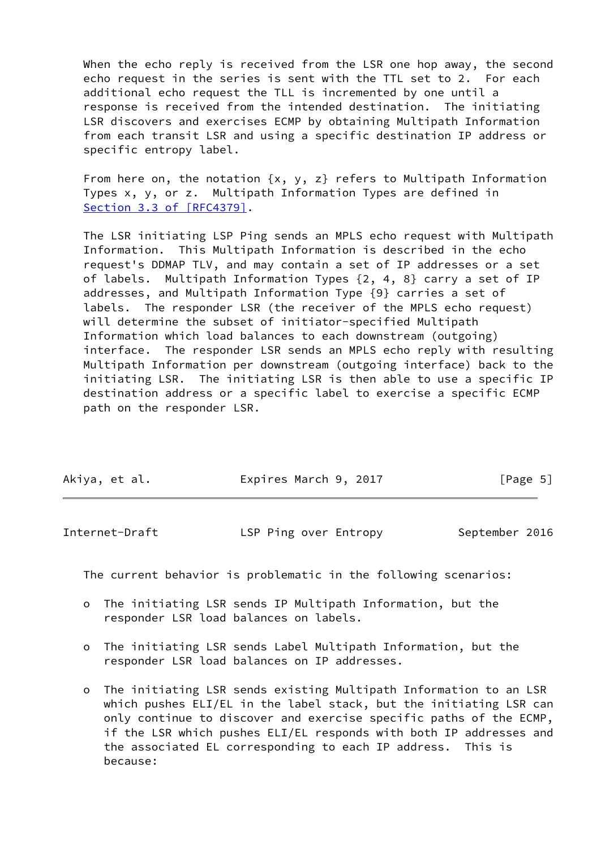When the echo reply is received from the LSR one hop away, the second echo request in the series is sent with the TTL set to 2. For each additional echo request the TLL is incremented by one until a response is received from the intended destination. The initiating LSR discovers and exercises ECMP by obtaining Multipath Information from each transit LSR and using a specific destination IP address or specific entropy label.

From here on, the notation  $\{x, y, z\}$  refers to Multipath Information Types x, y, or z. Multipath Information Types are defined in Section [3.3 of \[RFC4379\]](https://datatracker.ietf.org/doc/pdf/rfc4379#section-3.3).

 The LSR initiating LSP Ping sends an MPLS echo request with Multipath Information. This Multipath Information is described in the echo request's DDMAP TLV, and may contain a set of IP addresses or a set of labels. Multipath Information Types {2, 4, 8} carry a set of IP addresses, and Multipath Information Type {9} carries a set of labels. The responder LSR (the receiver of the MPLS echo request) will determine the subset of initiator-specified Multipath Information which load balances to each downstream (outgoing) interface. The responder LSR sends an MPLS echo reply with resulting Multipath Information per downstream (outgoing interface) back to the initiating LSR. The initiating LSR is then able to use a specific IP destination address or a specific label to exercise a specific ECMP path on the responder LSR.

| Akiya, et al. | Expires March 9, 2017 | [Page 5] |
|---------------|-----------------------|----------|

| September 2016<br>Internet-Draft<br>LSP Ping over Entropy |  |
|-----------------------------------------------------------|--|
|-----------------------------------------------------------|--|

The current behavior is problematic in the following scenarios:

- o The initiating LSR sends IP Multipath Information, but the responder LSR load balances on labels.
- o The initiating LSR sends Label Multipath Information, but the responder LSR load balances on IP addresses.
- o The initiating LSR sends existing Multipath Information to an LSR which pushes ELI/EL in the label stack, but the initiating LSR can only continue to discover and exercise specific paths of the ECMP, if the LSR which pushes ELI/EL responds with both IP addresses and the associated EL corresponding to each IP address. This is because: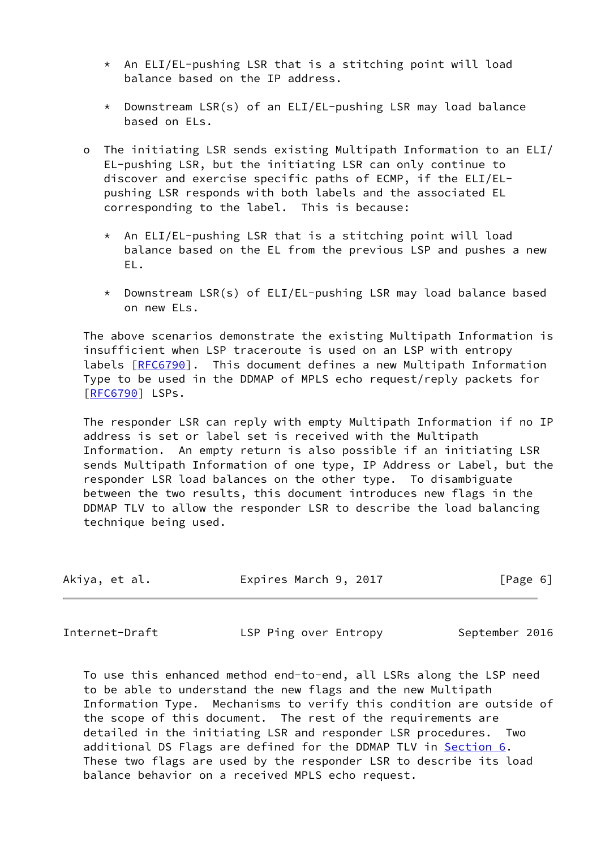- $*$  An ELI/EL-pushing LSR that is a stitching point will load balance based on the IP address.
- \* Downstream LSR(s) of an ELI/EL-pushing LSR may load balance based on ELs.
- o The initiating LSR sends existing Multipath Information to an ELI/ EL-pushing LSR, but the initiating LSR can only continue to discover and exercise specific paths of ECMP, if the ELI/EL pushing LSR responds with both labels and the associated EL corresponding to the label. This is because:
	- $*$  An ELI/EL-pushing LSR that is a stitching point will load balance based on the EL from the previous LSP and pushes a new EL.
	- \* Downstream LSR(s) of ELI/EL-pushing LSR may load balance based on new ELs.

 The above scenarios demonstrate the existing Multipath Information is insufficient when LSP traceroute is used on an LSP with entropy labels [\[RFC6790](https://datatracker.ietf.org/doc/pdf/rfc6790)]. This document defines a new Multipath Information Type to be used in the DDMAP of MPLS echo request/reply packets for [\[RFC6790](https://datatracker.ietf.org/doc/pdf/rfc6790)] LSPs.

 The responder LSR can reply with empty Multipath Information if no IP address is set or label set is received with the Multipath Information. An empty return is also possible if an initiating LSR sends Multipath Information of one type, IP Address or Label, but the responder LSR load balances on the other type. To disambiguate between the two results, this document introduces new flags in the DDMAP TLV to allow the responder LSR to describe the load balancing technique being used.

| Akiya, et al. | Expires March 9, 2017 | [Page 6] |
|---------------|-----------------------|----------|
|---------------|-----------------------|----------|

<span id="page-6-0"></span>Internet-Draft LSP Ping over Entropy September 2016

 To use this enhanced method end-to-end, all LSRs along the LSP need to be able to understand the new flags and the new Multipath Information Type. Mechanisms to verify this condition are outside of the scope of this document. The rest of the requirements are detailed in the initiating LSR and responder LSR procedures. Two additional DS Flags are defined for the DDMAP TLV in [Section 6](#page-9-0). These two flags are used by the responder LSR to describe its load balance behavior on a received MPLS echo request.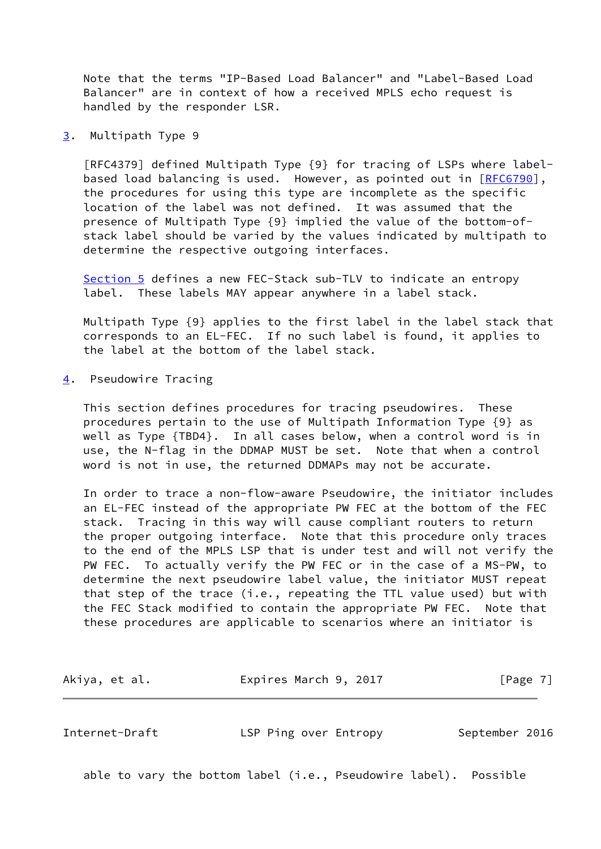Note that the terms "IP-Based Load Balancer" and "Label-Based Load Balancer" are in context of how a received MPLS echo request is handled by the responder LSR.

<span id="page-7-0"></span>[3](#page-7-0). Multipath Type 9

 [RFC4379] defined Multipath Type {9} for tracing of LSPs where label- based load balancing is used. However, as pointed out in [[RFC6790](https://datatracker.ietf.org/doc/pdf/rfc6790)], the procedures for using this type are incomplete as the specific location of the label was not defined. It was assumed that the presence of Multipath Type {9} implied the value of the bottom-of stack label should be varied by the values indicated by multipath to determine the respective outgoing interfaces.

 [Section 5](#page-8-0) defines a new FEC-Stack sub-TLV to indicate an entropy label. These labels MAY appear anywhere in a label stack.

 Multipath Type {9} applies to the first label in the label stack that corresponds to an EL-FEC. If no such label is found, it applies to the label at the bottom of the label stack.

<span id="page-7-1"></span>[4](#page-7-1). Pseudowire Tracing

 This section defines procedures for tracing pseudowires. These procedures pertain to the use of Multipath Information Type {9} as well as Type {TBD4}. In all cases below, when a control word is in use, the N-flag in the DDMAP MUST be set. Note that when a control word is not in use, the returned DDMAPs may not be accurate.

 In order to trace a non-flow-aware Pseudowire, the initiator includes an EL-FEC instead of the appropriate PW FEC at the bottom of the FEC stack. Tracing in this way will cause compliant routers to return the proper outgoing interface. Note that this procedure only traces to the end of the MPLS LSP that is under test and will not verify the PW FEC. To actually verify the PW FEC or in the case of a MS-PW, to determine the next pseudowire label value, the initiator MUST repeat that step of the trace (i.e., repeating the TTL value used) but with the FEC Stack modified to contain the appropriate PW FEC. Note that these procedures are applicable to scenarios where an initiator is

Akiya, et al. **Expires March 9, 2017** [Page 7]

<span id="page-7-2"></span>Internet-Draft LSP Ping over Entropy September 2016

able to vary the bottom label (i.e., Pseudowire label). Possible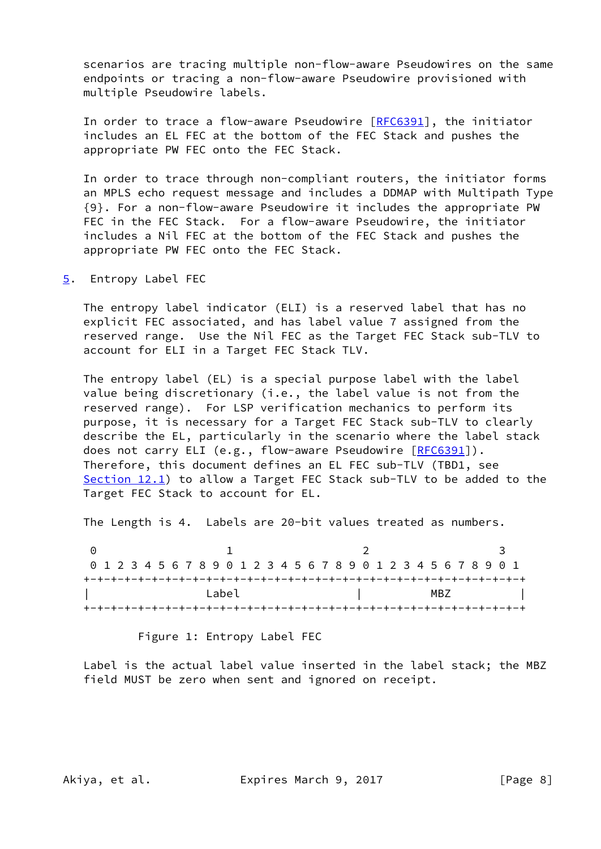scenarios are tracing multiple non-flow-aware Pseudowires on the same endpoints or tracing a non-flow-aware Pseudowire provisioned with multiple Pseudowire labels.

In order to trace a flow-aware Pseudowire [[RFC6391](https://datatracker.ietf.org/doc/pdf/rfc6391)], the initiator includes an EL FEC at the bottom of the FEC Stack and pushes the appropriate PW FEC onto the FEC Stack.

 In order to trace through non-compliant routers, the initiator forms an MPLS echo request message and includes a DDMAP with Multipath Type {9}. For a non-flow-aware Pseudowire it includes the appropriate PW FEC in the FEC Stack. For a flow-aware Pseudowire, the initiator includes a Nil FEC at the bottom of the FEC Stack and pushes the appropriate PW FEC onto the FEC Stack.

<span id="page-8-0"></span>[5](#page-8-0). Entropy Label FEC

 The entropy label indicator (ELI) is a reserved label that has no explicit FEC associated, and has label value 7 assigned from the reserved range. Use the Nil FEC as the Target FEC Stack sub-TLV to account for ELI in a Target FEC Stack TLV.

 The entropy label (EL) is a special purpose label with the label value being discretionary (i.e., the label value is not from the reserved range). For LSP verification mechanics to perform its purpose, it is necessary for a Target FEC Stack sub-TLV to clearly describe the EL, particularly in the scenario where the label stack does not carry ELI (e.g., flow-aware Pseudowire [\[RFC6391](https://datatracker.ietf.org/doc/pdf/rfc6391)]). Therefore, this document defines an EL FEC sub-TLV (TBD1, see [Section 12.1](#page-21-1)) to allow a Target FEC Stack sub-TLV to be added to the Target FEC Stack to account for EL.

The Length is 4. Labels are 20-bit values treated as numbers.

0 1 2 3 0 1 2 3 4 5 6 7 8 9 0 1 2 3 4 5 6 7 8 9 0 1 2 3 4 5 6 7 8 9 0 1 +-+-+-+-+-+-+-+-+-+-+-+-+-+-+-+-+-+-+-+-+-+-+-+-+-+-+-+-+-+-+-+-+  $\Box$  Label  $\Box$  | MBZ +-+-+-+-+-+-+-+-+-+-+-+-+-+-+-+-+-+-+-+-+-+-+-+-+-+-+-+-+-+-+-+-+

Figure 1: Entropy Label FEC

 Label is the actual label value inserted in the label stack; the MBZ field MUST be zero when sent and ignored on receipt.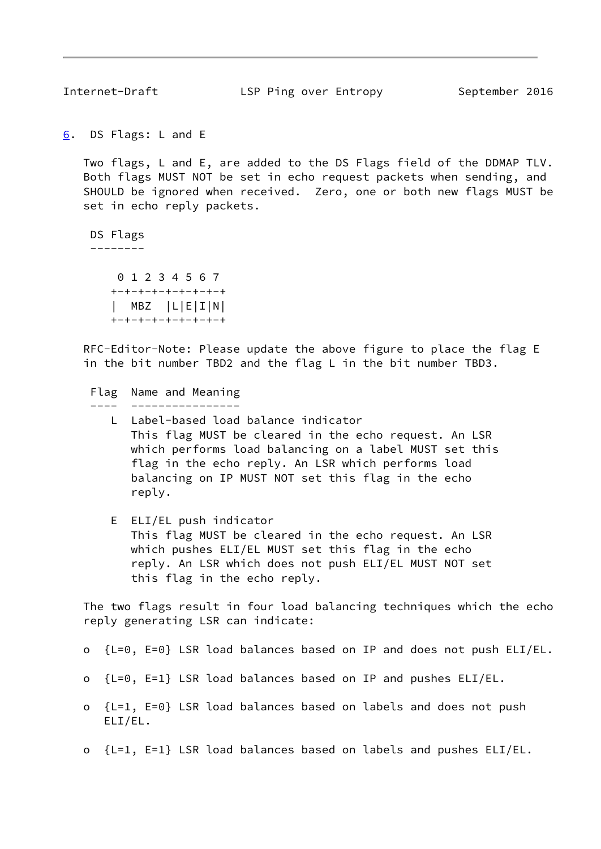<span id="page-9-1"></span>

Internet-Draft **LSP Ping over Entropy** September 2016

<span id="page-9-0"></span>[6](#page-9-0). DS Flags: L and E

 Two flags, L and E, are added to the DS Flags field of the DDMAP TLV. Both flags MUST NOT be set in echo request packets when sending, and SHOULD be ignored when received. Zero, one or both new flags MUST be set in echo reply packets.

DS Flags

--------

 0 1 2 3 4 5 6 7 +-+-+-+-+-+-+-+-+ | MBZ |L|E|I|N| +-+-+-+-+-+-+-+-+

 RFC-Editor-Note: Please update the above figure to place the flag E in the bit number TBD2 and the flag L in the bit number TBD3.

 Flag Name and Meaning ---- ----------------

- L Label-based load balance indicator This flag MUST be cleared in the echo request. An LSR which performs load balancing on a label MUST set this flag in the echo reply. An LSR which performs load balancing on IP MUST NOT set this flag in the echo reply.
- E ELI/EL push indicator This flag MUST be cleared in the echo request. An LSR which pushes ELI/EL MUST set this flag in the echo reply. An LSR which does not push ELI/EL MUST NOT set this flag in the echo reply.

 The two flags result in four load balancing techniques which the echo reply generating LSR can indicate:

- o {L=0, E=0} LSR load balances based on IP and does not push ELI/EL.
- o {L=0, E=1} LSR load balances based on IP and pushes ELI/EL.
- o {L=1, E=0} LSR load balances based on labels and does not push ELI/EL.
- o  ${L=1, E=1}$  LSR load balances based on labels and pushes ELI/EL.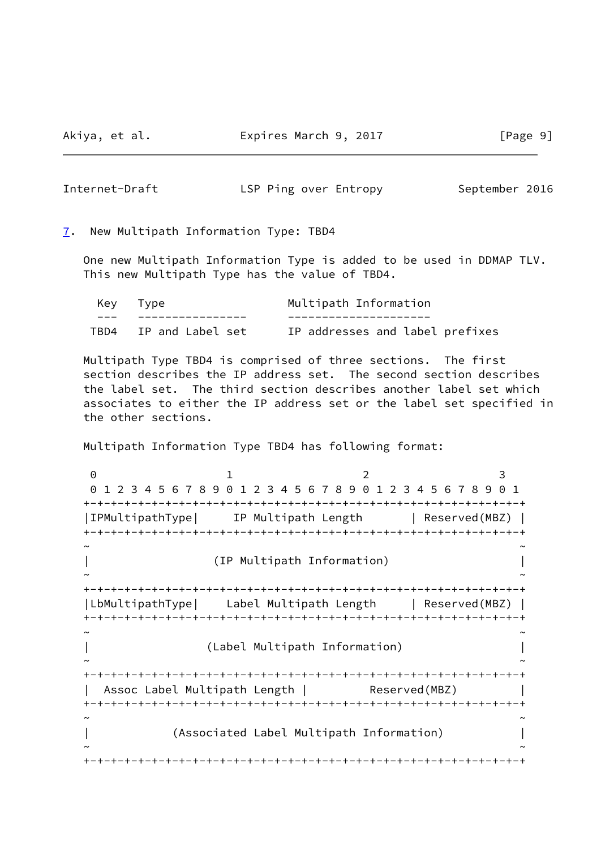<span id="page-10-1"></span>Internet-Draft The LSP Ping over Entropy September 2016

<span id="page-10-0"></span>[7](#page-10-0). New Multipath Information Type: TBD4

 One new Multipath Information Type is added to be used in DDMAP TLV. This new Multipath Type has the value of TBD4.

| Key Type              | Multipath Information           |
|-----------------------|---------------------------------|
|                       |                                 |
| TBD4 IP and Label set | IP addresses and label prefixes |

 Multipath Type TBD4 is comprised of three sections. The first section describes the IP address set. The second section describes the label set. The third section describes another label set which associates to either the IP address set or the label set specified in the other sections.

Multipath Information Type TBD4 has following format:

0 1 2 3 0 1 2 3 4 5 6 7 8 9 0 1 2 3 4 5 6 7 8 9 0 1 2 3 4 5 6 7 8 9 0 1 +-+-+-+-+-+-+-+-+-+-+-+-+-+-+-+-+-+-+-+-+-+-+-+-+-+-+-+-+-+-+-+-+ |IPMultipathType| IP Multipath Length | Reserved(MBZ) | +-+-+-+-+-+-+-+-+-+-+-+-+-+-+-+-+-+-+-+-+-+-+-+-+-+-+-+-+-+-+-+-+ ~ ~ | (IP Multipath Information) | ~ ~ +-+-+-+-+-+-+-+-+-+-+-+-+-+-+-+-+-+-+-+-+-+-+-+-+-+-+-+-+-+-+-+-+ |LbMultipathType| Label Multipath Length | Reserved(MBZ) | +-+-+-+-+-+-+-+-+-+-+-+-+-+-+-+-+-+-+-+-+-+-+-+-+-+-+-+-+-+-+-+-+ ~ ~ | (Label Multipath Information) | ~ ~ +-+-+-+-+-+-+-+-+-+-+-+-+-+-+-+-+-+-+-+-+-+-+-+-+-+-+-+-+-+-+-+-+ | Assoc Label Multipath Length | Reserved(MBZ) +-+-+-+-+-+-+-+-+-+-+-+-+-+-+-+-+-+-+-+-+-+-+-+-+-+-+-+-+-+-+-+-+ ~ ~ | (Associated Label Multipath Information) | ~ ~ +-+-+-+-+-+-+-+-+-+-+-+-+-+-+-+-+-+-+-+-+-+-+-+-+-+-+-+-+-+-+-+-+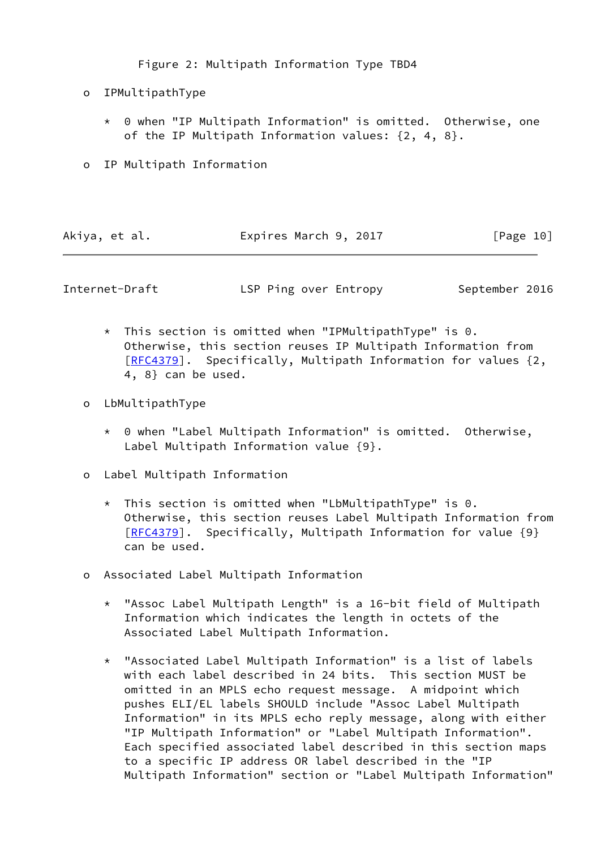Figure 2: Multipath Information Type TBD4

- o IPMultipathType
	- \* 0 when "IP Multipath Information" is omitted. Otherwise, one of the IP Multipath Information values: {2, 4, 8}.
- o IP Multipath Information

| Akiya, et al.<br>Expires March 9, 2017 |  | [Page 10] |
|----------------------------------------|--|-----------|
|----------------------------------------|--|-----------|

<span id="page-11-0"></span>Internet-Draft **LSP Ping over Entropy** September 2016

- $*$  This section is omitted when "IPMultipathType" is 0. Otherwise, this section reuses IP Multipath Information from [[RFC4379](https://datatracker.ietf.org/doc/pdf/rfc4379)]. Specifically, Multipath Information for values {2, 4, 8} can be used.
- o LbMultipathType
	- \* 0 when "Label Multipath Information" is omitted. Otherwise, Label Multipath Information value {9}.
- o Label Multipath Information
	- \* This section is omitted when "LbMultipathType" is 0. Otherwise, this section reuses Label Multipath Information from [[RFC4379](https://datatracker.ietf.org/doc/pdf/rfc4379)]. Specifically, Multipath Information for value {9} can be used.
- o Associated Label Multipath Information
	- \* "Assoc Label Multipath Length" is a 16-bit field of Multipath Information which indicates the length in octets of the Associated Label Multipath Information.
	- \* "Associated Label Multipath Information" is a list of labels with each label described in 24 bits. This section MUST be omitted in an MPLS echo request message. A midpoint which pushes ELI/EL labels SHOULD include "Assoc Label Multipath Information" in its MPLS echo reply message, along with either "IP Multipath Information" or "Label Multipath Information". Each specified associated label described in this section maps to a specific IP address OR label described in the "IP Multipath Information" section or "Label Multipath Information"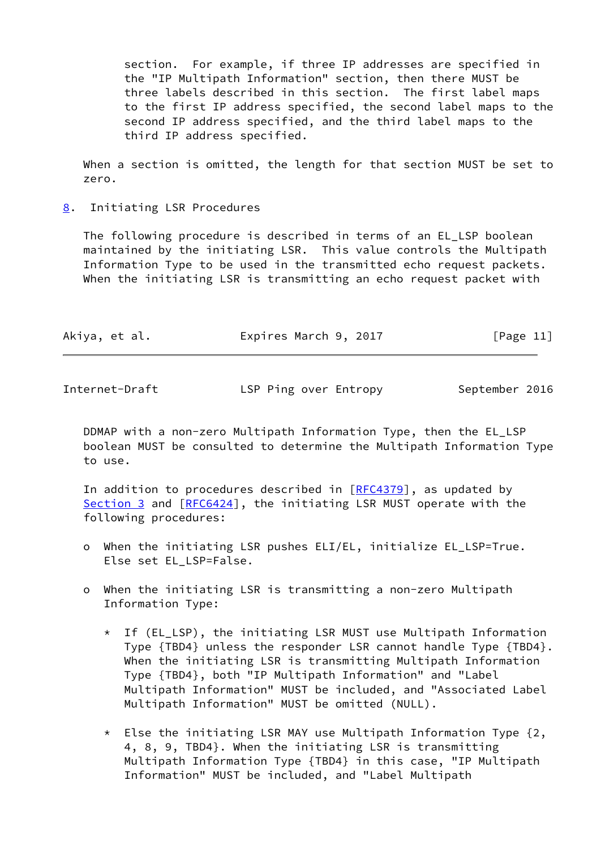section. For example, if three IP addresses are specified in the "IP Multipath Information" section, then there MUST be three labels described in this section. The first label maps to the first IP address specified, the second label maps to the second IP address specified, and the third label maps to the third IP address specified.

 When a section is omitted, the length for that section MUST be set to zero.

<span id="page-12-0"></span>[8](#page-12-0). Initiating LSR Procedures

 The following procedure is described in terms of an EL\_LSP boolean maintained by the initiating LSR. This value controls the Multipath Information Type to be used in the transmitted echo request packets. When the initiating LSR is transmitting an echo request packet with

| Akiya, et al. | Expires March 9, 2017 | [Page 11] |
|---------------|-----------------------|-----------|
|               |                       |           |

Internet-Draft LSP Ping over Entropy September 2016

 DDMAP with a non-zero Multipath Information Type, then the EL\_LSP boolean MUST be consulted to determine the Multipath Information Type to use.

In addition to procedures described in  $[REC4379]$ , as updated by [Section 3](#page-7-0) and [[RFC6424](https://datatracker.ietf.org/doc/pdf/rfc6424)], the initiating LSR MUST operate with the following procedures:

- o When the initiating LSR pushes ELI/EL, initialize EL\_LSP=True. Else set EL LSP=False.
- o When the initiating LSR is transmitting a non-zero Multipath Information Type:
	- \* If (EL\_LSP), the initiating LSR MUST use Multipath Information Type {TBD4} unless the responder LSR cannot handle Type {TBD4}. When the initiating LSR is transmitting Multipath Information Type {TBD4}, both "IP Multipath Information" and "Label Multipath Information" MUST be included, and "Associated Label Multipath Information" MUST be omitted (NULL).
	- $*$  Else the initiating LSR MAY use Multipath Information Type  $\{2,$  4, 8, 9, TBD4}. When the initiating LSR is transmitting Multipath Information Type {TBD4} in this case, "IP Multipath Information" MUST be included, and "Label Multipath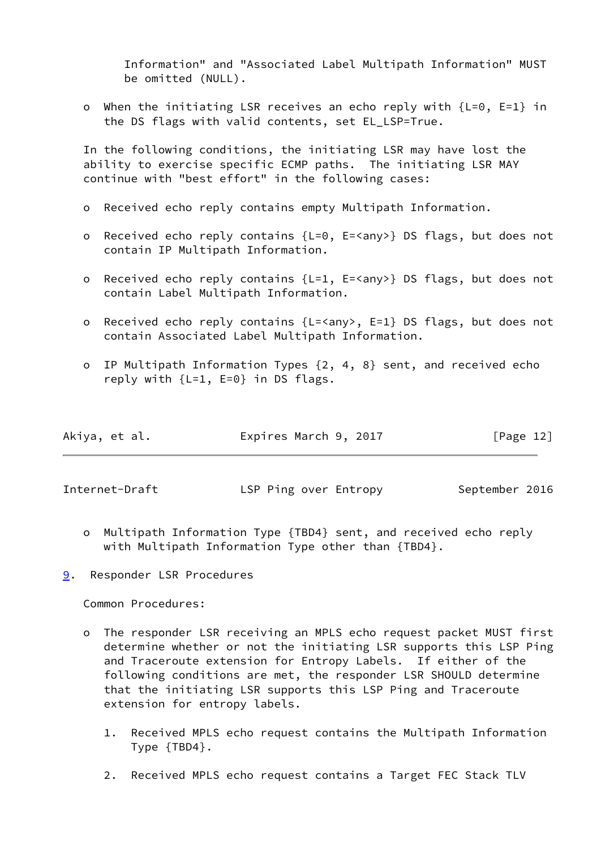Information" and "Associated Label Multipath Information" MUST be omitted (NULL).

 o When the initiating LSR receives an echo reply with {L=0, E=1} in the DS flags with valid contents, set EL\_LSP=True.

 In the following conditions, the initiating LSR may have lost the ability to exercise specific ECMP paths. The initiating LSR MAY continue with "best effort" in the following cases:

- o Received echo reply contains empty Multipath Information.
- o Received echo reply contains {L=0, E=<any>} DS flags, but does not contain IP Multipath Information.
- o Received echo reply contains {L=1, E=<any>} DS flags, but does not contain Label Multipath Information.
- o Received echo reply contains {L=<any>, E=1} DS flags, but does not contain Associated Label Multipath Information.
- o IP Multipath Information Types {2, 4, 8} sent, and received echo reply with {L=1, E=0} in DS flags.

| Akiya, et al. | Expires March 9, 2017 | [Page 12] |
|---------------|-----------------------|-----------|
|---------------|-----------------------|-----------|

<span id="page-13-1"></span>Internet-Draft **LSP Ping over Entropy** September 2016

 o Multipath Information Type {TBD4} sent, and received echo reply with Multipath Information Type other than {TBD4}.

<span id="page-13-0"></span>[9](#page-13-0). Responder LSR Procedures

Common Procedures:

- o The responder LSR receiving an MPLS echo request packet MUST first determine whether or not the initiating LSR supports this LSP Ping and Traceroute extension for Entropy Labels. If either of the following conditions are met, the responder LSR SHOULD determine that the initiating LSR supports this LSP Ping and Traceroute extension for entropy labels.
	- 1. Received MPLS echo request contains the Multipath Information Type {TBD4}.
	- 2. Received MPLS echo request contains a Target FEC Stack TLV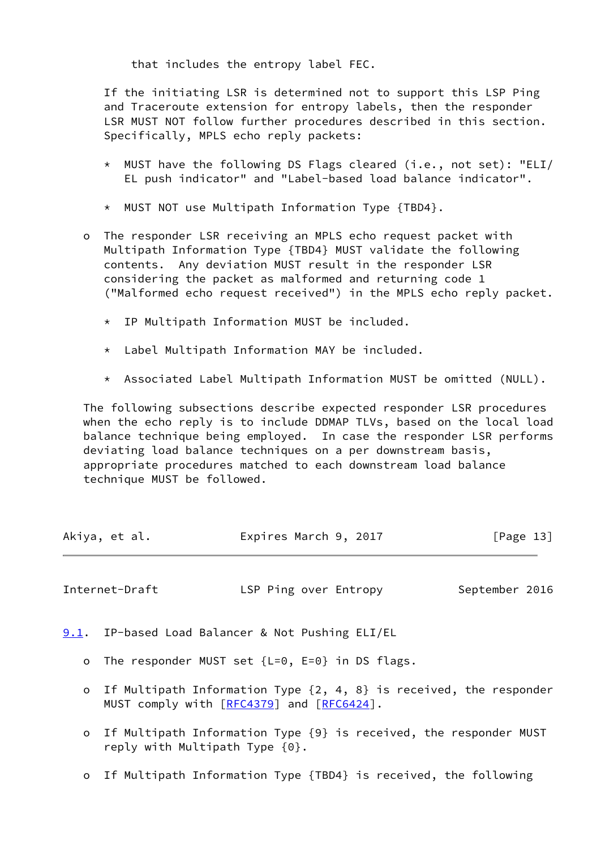that includes the entropy label FEC.

 If the initiating LSR is determined not to support this LSP Ping and Traceroute extension for entropy labels, then the responder LSR MUST NOT follow further procedures described in this section. Specifically, MPLS echo reply packets:

- \* MUST have the following DS Flags cleared (i.e., not set): "ELI/ EL push indicator" and "Label-based load balance indicator".
- \* MUST NOT use Multipath Information Type {TBD4}.
- o The responder LSR receiving an MPLS echo request packet with Multipath Information Type {TBD4} MUST validate the following contents. Any deviation MUST result in the responder LSR considering the packet as malformed and returning code 1 ("Malformed echo request received") in the MPLS echo reply packet.
	- \* IP Multipath Information MUST be included.
	- \* Label Multipath Information MAY be included.
	- \* Associated Label Multipath Information MUST be omitted (NULL).

 The following subsections describe expected responder LSR procedures when the echo reply is to include DDMAP TLVs, based on the local load balance technique being employed. In case the responder LSR performs deviating load balance techniques on a per downstream basis, appropriate procedures matched to each downstream load balance technique MUST be followed.

| Akiya, et al. | Expires March 9, 2017 | [Page 13] |
|---------------|-----------------------|-----------|
|               |                       |           |

<span id="page-14-1"></span>Internet-Draft **LSP Ping over Entropy** September 2016

<span id="page-14-0"></span>[9.1](#page-14-0). IP-based Load Balancer & Not Pushing ELI/EL

- o The responder MUST set {L=0, E=0} in DS flags.
- o If Multipath Information Type {2, 4, 8} is received, the responder MUST comply with [\[RFC4379](https://datatracker.ietf.org/doc/pdf/rfc4379)] and [[RFC6424](https://datatracker.ietf.org/doc/pdf/rfc6424)].
- o If Multipath Information Type {9} is received, the responder MUST reply with Multipath Type {0}.
- o If Multipath Information Type {TBD4} is received, the following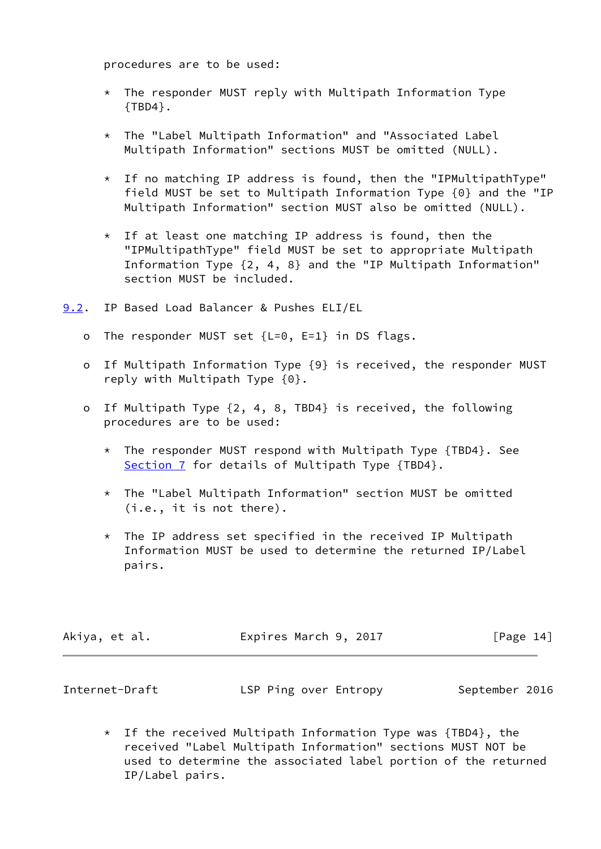procedures are to be used:

- $*$  The responder MUST reply with Multipath Information Type  ${TBD4}.$
- \* The "Label Multipath Information" and "Associated Label Multipath Information" sections MUST be omitted (NULL).
- $*$  If no matching IP address is found, then the "IPMultipathType" field MUST be set to Multipath Information Type {0} and the "IP Multipath Information" section MUST also be omitted (NULL).
- \* If at least one matching IP address is found, then the "IPMultipathType" field MUST be set to appropriate Multipath Information Type {2, 4, 8} and the "IP Multipath Information" section MUST be included.
- <span id="page-15-0"></span>[9.2](#page-15-0). IP Based Load Balancer & Pushes ELI/EL
	- o The responder MUST set {L=0, E=1} in DS flags.
	- o If Multipath Information Type {9} is received, the responder MUST reply with Multipath Type {0}.
	- o If Multipath Type {2, 4, 8, TBD4} is received, the following procedures are to be used:
		- \* The responder MUST respond with Multipath Type {TBD4}. See [Section 7](#page-10-0) for details of Multipath Type {TBD4}.
		- \* The "Label Multipath Information" section MUST be omitted (i.e., it is not there).
		- $*$  The IP address set specified in the received IP Multipath Information MUST be used to determine the returned IP/Label pairs.

| Akiya, et al. | Expires March 9, 2017 | [Page 14] |
|---------------|-----------------------|-----------|
|               |                       |           |

<span id="page-15-1"></span>

| Internet-Draft | LSP Ping over Entropy | September 2016 |
|----------------|-----------------------|----------------|
|----------------|-----------------------|----------------|

\* If the received Multipath Information Type was  ${TBD4}$ , the received "Label Multipath Information" sections MUST NOT be used to determine the associated label portion of the returned IP/Label pairs.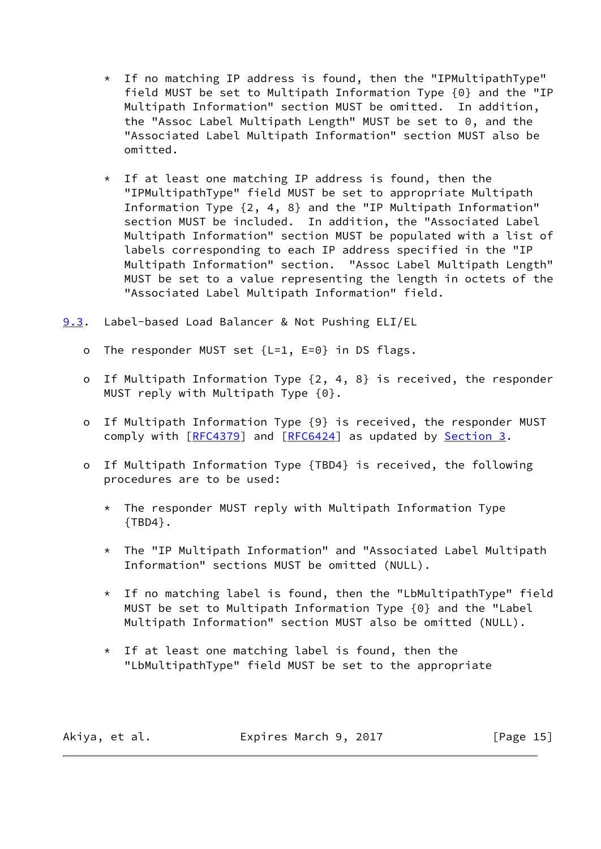- \* If no matching IP address is found, then the "IPMultipathType" field MUST be set to Multipath Information Type {0} and the "IP Multipath Information" section MUST be omitted. In addition, the "Assoc Label Multipath Length" MUST be set to 0, and the "Associated Label Multipath Information" section MUST also be omitted.
- \* If at least one matching IP address is found, then the "IPMultipathType" field MUST be set to appropriate Multipath Information Type {2, 4, 8} and the "IP Multipath Information" section MUST be included. In addition, the "Associated Label Multipath Information" section MUST be populated with a list of labels corresponding to each IP address specified in the "IP Multipath Information" section. "Assoc Label Multipath Length" MUST be set to a value representing the length in octets of the "Associated Label Multipath Information" field.
- <span id="page-16-0"></span>[9.3](#page-16-0). Label-based Load Balancer & Not Pushing ELI/EL
	- o The responder MUST set {L=1, E=0} in DS flags.
	- o If Multipath Information Type {2, 4, 8} is received, the responder MUST reply with Multipath Type {0}.
	- o If Multipath Information Type {9} is received, the responder MUST comply with [\[RFC4379](https://datatracker.ietf.org/doc/pdf/rfc4379)] and [\[RFC6424](https://datatracker.ietf.org/doc/pdf/rfc6424)] as updated by [Section 3](#page-7-0).
	- o If Multipath Information Type {TBD4} is received, the following procedures are to be used:
		- \* The responder MUST reply with Multipath Information Type {TBD4}.
		- \* The "IP Multipath Information" and "Associated Label Multipath Information" sections MUST be omitted (NULL).
		- \* If no matching label is found, then the "LbMultipathType" field MUST be set to Multipath Information Type {0} and the "Label Multipath Information" section MUST also be omitted (NULL).
		- \* If at least one matching label is found, then the "LbMultipathType" field MUST be set to the appropriate

Akiya, et al. **Expires March 9, 2017** [Page 15]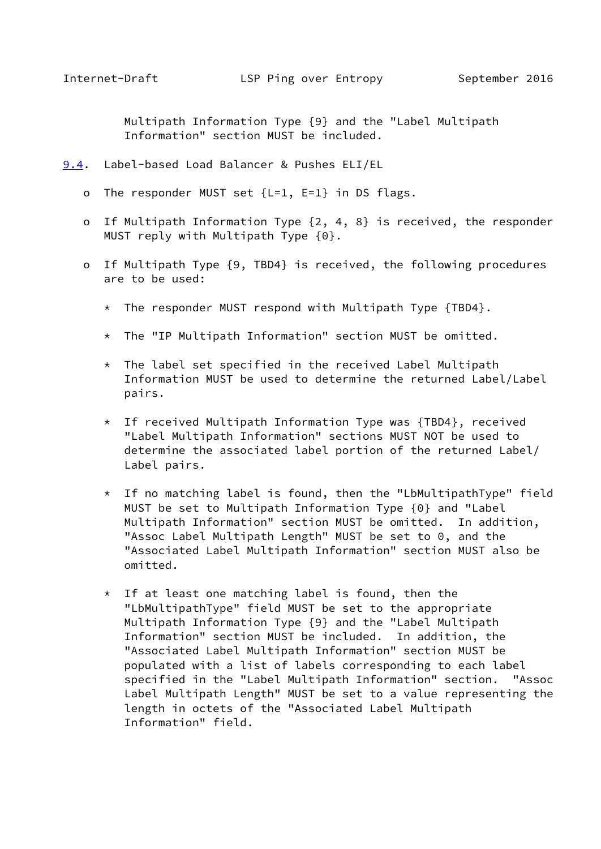<span id="page-17-1"></span> Multipath Information Type {9} and the "Label Multipath Information" section MUST be included.

- <span id="page-17-0"></span>[9.4](#page-17-0). Label-based Load Balancer & Pushes ELI/EL
	- o The responder MUST set {L=1, E=1} in DS flags.
	- o If Multipath Information Type {2, 4, 8} is received, the responder MUST reply with Multipath Type {0}.
	- o If Multipath Type {9, TBD4} is received, the following procedures are to be used:
		- \* The responder MUST respond with Multipath Type {TBD4}.
		- \* The "IP Multipath Information" section MUST be omitted.
		- \* The label set specified in the received Label Multipath Information MUST be used to determine the returned Label/Label pairs.
		- \* If received Multipath Information Type was {TBD4}, received "Label Multipath Information" sections MUST NOT be used to determine the associated label portion of the returned Label/ Label pairs.
		- \* If no matching label is found, then the "LbMultipathType" field MUST be set to Multipath Information Type {0} and "Label Multipath Information" section MUST be omitted. In addition, "Assoc Label Multipath Length" MUST be set to 0, and the "Associated Label Multipath Information" section MUST also be omitted.
		- $*$  If at least one matching label is found, then the "LbMultipathType" field MUST be set to the appropriate Multipath Information Type {9} and the "Label Multipath Information" section MUST be included. In addition, the "Associated Label Multipath Information" section MUST be populated with a list of labels corresponding to each label specified in the "Label Multipath Information" section. "Assoc Label Multipath Length" MUST be set to a value representing the length in octets of the "Associated Label Multipath Information" field.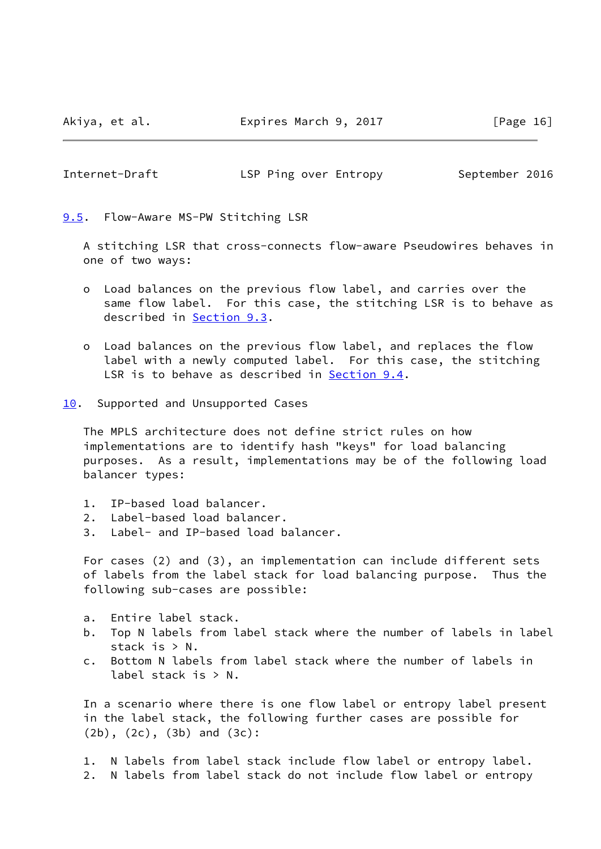Akiya, et al. Expires March 9, 2017 [Page 16]

<span id="page-18-1"></span>Internet-Draft **LSP Ping over Entropy** September 2016

<span id="page-18-0"></span>[9.5](#page-18-0). Flow-Aware MS-PW Stitching LSR

 A stitching LSR that cross-connects flow-aware Pseudowires behaves in one of two ways:

- o Load balances on the previous flow label, and carries over the same flow label. For this case, the stitching LSR is to behave as described in [Section 9.3](#page-16-0).
- o Load balances on the previous flow label, and replaces the flow label with a newly computed label. For this case, the stitching LSR is to behave as described in [Section 9.4.](#page-17-0)
- <span id="page-18-2"></span>[10.](#page-18-2) Supported and Unsupported Cases

 The MPLS architecture does not define strict rules on how implementations are to identify hash "keys" for load balancing purposes. As a result, implementations may be of the following load balancer types:

- 1. IP-based load balancer.
- 2. Label-based load balancer.
- 3. Label- and IP-based load balancer.

 For cases (2) and (3), an implementation can include different sets of labels from the label stack for load balancing purpose. Thus the following sub-cases are possible:

- a. Entire label stack.
- b. Top N labels from label stack where the number of labels in label stack is > N.
- c. Bottom N labels from label stack where the number of labels in label stack is > N.

 In a scenario where there is one flow label or entropy label present in the label stack, the following further cases are possible for (2b), (2c), (3b) and (3c):

 1. N labels from label stack include flow label or entropy label. 2. N labels from label stack do not include flow label or entropy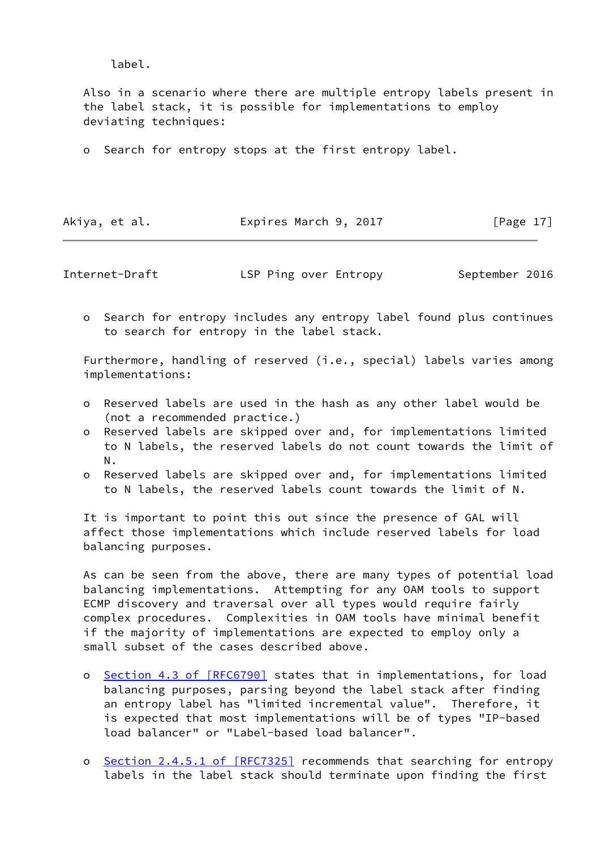label.

 Also in a scenario where there are multiple entropy labels present in the label stack, it is possible for implementations to employ deviating techniques:

o Search for entropy stops at the first entropy label.

Akiya, et al. **Expires March 9, 2017** [Page 17]

Internet-Draft **LSP Ping over Entropy** September 2016

 o Search for entropy includes any entropy label found plus continues to search for entropy in the label stack.

Furthermore, handling of reserved (i.e., special) labels varies among implementations:

- o Reserved labels are used in the hash as any other label would be (not a recommended practice.)
- o Reserved labels are skipped over and, for implementations limited to N labels, the reserved labels do not count towards the limit of N.
- o Reserved labels are skipped over and, for implementations limited to N labels, the reserved labels count towards the limit of N.

 It is important to point this out since the presence of GAL will affect those implementations which include reserved labels for load balancing purposes.

 As can be seen from the above, there are many types of potential load balancing implementations. Attempting for any OAM tools to support ECMP discovery and traversal over all types would require fairly complex procedures. Complexities in OAM tools have minimal benefit if the majority of implementations are expected to employ only a small subset of the cases described above.

- o Section [4.3 of \[RFC6790\]](https://datatracker.ietf.org/doc/pdf/rfc6790#section-4.3) states that in implementations, for load balancing purposes, parsing beyond the label stack after finding an entropy label has "limited incremental value". Therefore, it is expected that most implementations will be of types "IP-based load balancer" or "Label-based load balancer".
- o Section [2.4.5.1 of \[RFC7325\]](https://datatracker.ietf.org/doc/pdf/rfc7325#section-2.4.5.1) recommends that searching for entropy labels in the label stack should terminate upon finding the first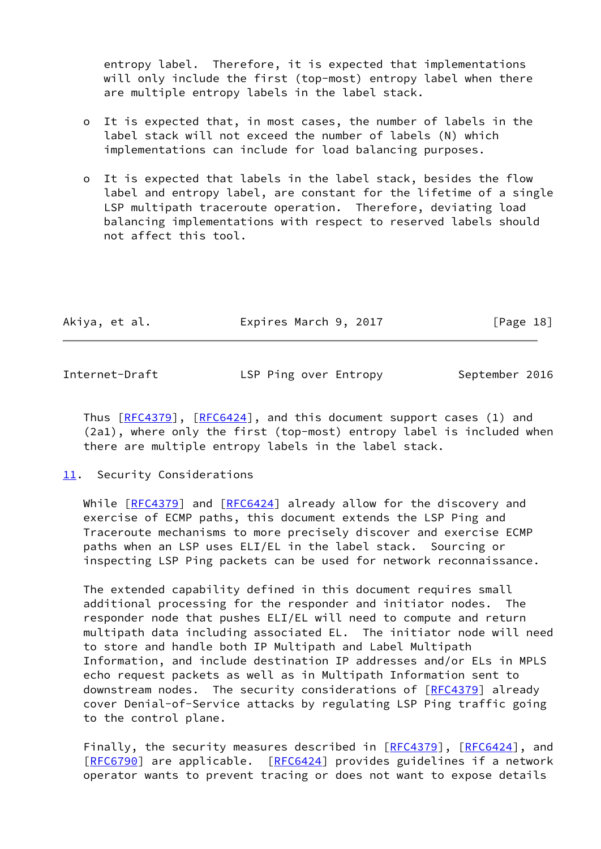entropy label. Therefore, it is expected that implementations will only include the first (top-most) entropy label when there are multiple entropy labels in the label stack.

- o It is expected that, in most cases, the number of labels in the label stack will not exceed the number of labels (N) which implementations can include for load balancing purposes.
- o It is expected that labels in the label stack, besides the flow label and entropy label, are constant for the lifetime of a single LSP multipath traceroute operation. Therefore, deviating load balancing implementations with respect to reserved labels should not affect this tool.

| Akiya, et al. | Expires March 9, 2017 | [Page 18] |
|---------------|-----------------------|-----------|
|               |                       |           |

<span id="page-20-1"></span>Internet-Draft **LSP Ping over Entropy** September 2016

Thus  $[REC4379]$ ,  $[REC6424]$ , and this document support cases (1) and (2a1), where only the first (top-most) entropy label is included when there are multiple entropy labels in the label stack.

# <span id="page-20-0"></span>[11.](#page-20-0) Security Considerations

While [[RFC4379](https://datatracker.ietf.org/doc/pdf/rfc4379)] and [\[RFC6424](https://datatracker.ietf.org/doc/pdf/rfc6424)] already allow for the discovery and exercise of ECMP paths, this document extends the LSP Ping and Traceroute mechanisms to more precisely discover and exercise ECMP paths when an LSP uses ELI/EL in the label stack. Sourcing or inspecting LSP Ping packets can be used for network reconnaissance.

 The extended capability defined in this document requires small additional processing for the responder and initiator nodes. The responder node that pushes ELI/EL will need to compute and return multipath data including associated EL. The initiator node will need to store and handle both IP Multipath and Label Multipath Information, and include destination IP addresses and/or ELs in MPLS echo request packets as well as in Multipath Information sent to downstream nodes. The security considerations of [[RFC4379](https://datatracker.ietf.org/doc/pdf/rfc4379)] already cover Denial-of-Service attacks by regulating LSP Ping traffic going to the control plane.

Finally, the security measures described in [\[RFC4379](https://datatracker.ietf.org/doc/pdf/rfc4379)], [\[RFC6424](https://datatracker.ietf.org/doc/pdf/rfc6424)], and [\[RFC6790](https://datatracker.ietf.org/doc/pdf/rfc6790)] are applicable. [[RFC6424\]](https://datatracker.ietf.org/doc/pdf/rfc6424) provides guidelines if a network operator wants to prevent tracing or does not want to expose details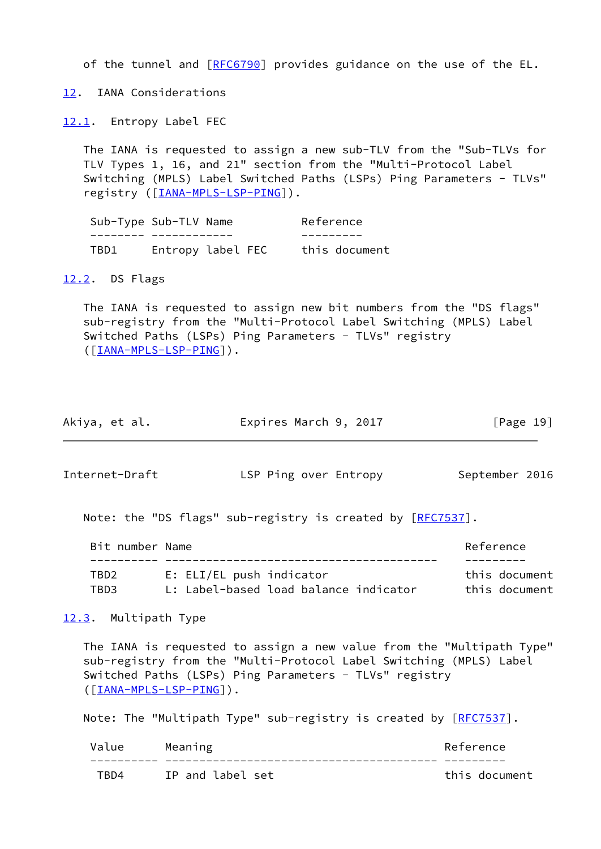of the tunnel and [[RFC6790](https://datatracker.ietf.org/doc/pdf/rfc6790)] provides guidance on the use of the EL.

<span id="page-21-0"></span>[12.](#page-21-0) IANA Considerations

<span id="page-21-1"></span>[12.1](#page-21-1). Entropy Label FEC

 The IANA is requested to assign a new sub-TLV from the "Sub-TLVs for TLV Types 1, 16, and 21" section from the "Multi-Protocol Label Switching (MPLS) Label Switched Paths (LSPs) Ping Parameters - TLVs" registry ([[IANA-MPLS-LSP-PING\]](#page-23-1)).

| Sub-Type Sub-TLV Name |                   | Reference     |
|-----------------------|-------------------|---------------|
|                       |                   |               |
| TBD1                  | Entropy label FEC | this document |

## <span id="page-21-2"></span>[12.2](#page-21-2). DS Flags

 The IANA is requested to assign new bit numbers from the "DS flags" sub-registry from the "Multi-Protocol Label Switching (MPLS) Label Switched Paths (LSPs) Ping Parameters - TLVs" registry ([\[IANA-MPLS-LSP-PING\]](#page-23-1)).

<span id="page-21-4"></span>

| Akiya, et al.  | Expires March 9, 2017                                      | [Page 19]      |
|----------------|------------------------------------------------------------|----------------|
| Internet-Draft | LSP Ping over Entropy                                      | September 2016 |
|                | Note: the "DS flags" sub-registry is created by [RFC7537]. |                |

| Bit number Name |                                       | Reference     |
|-----------------|---------------------------------------|---------------|
|                 |                                       |               |
| TBD2            | E: ELI/EL push indicator              | this document |
| TBD3            | L: Label-based load balance indicator | this document |

<span id="page-21-3"></span>[12.3](#page-21-3). Multipath Type

 The IANA is requested to assign a new value from the "Multipath Type" sub-registry from the "Multi-Protocol Label Switching (MPLS) Label Switched Paths (LSPs) Ping Parameters - TLVs" registry ([\[IANA-MPLS-LSP-PING\]](#page-23-1)).

Note: The "Multipath Type" sub-registry is created by [[RFC7537](https://datatracker.ietf.org/doc/pdf/rfc7537)].

| Value | Meaning          | Reference     |
|-------|------------------|---------------|
|       |                  |               |
| TRD4  | IP and label set | this document |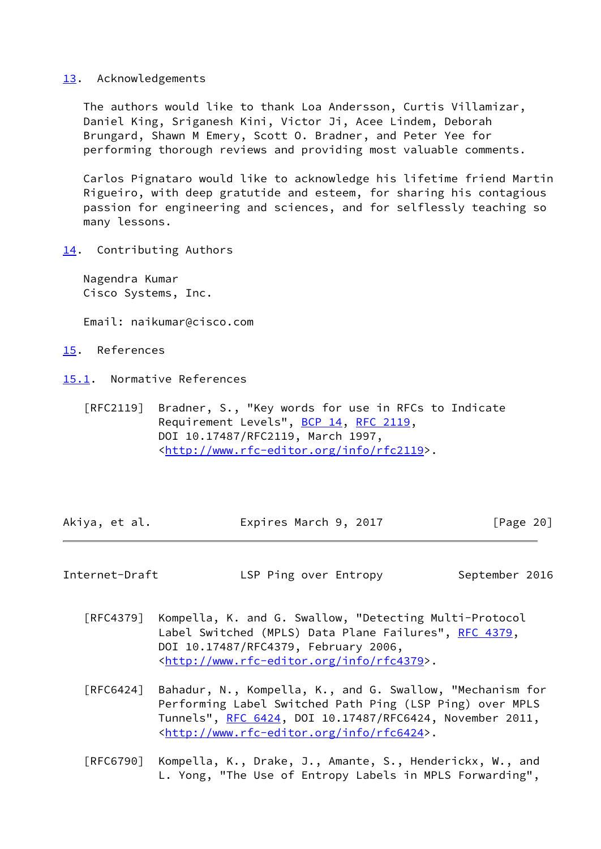#### <span id="page-22-0"></span>[13.](#page-22-0) Acknowledgements

 The authors would like to thank Loa Andersson, Curtis Villamizar, Daniel King, Sriganesh Kini, Victor Ji, Acee Lindem, Deborah Brungard, Shawn M Emery, Scott O. Bradner, and Peter Yee for performing thorough reviews and providing most valuable comments.

 Carlos Pignataro would like to acknowledge his lifetime friend Martin Rigueiro, with deep gratutide and esteem, for sharing his contagious passion for engineering and sciences, and for selflessly teaching so many lessons.

<span id="page-22-1"></span>[14.](#page-22-1) Contributing Authors

 Nagendra Kumar Cisco Systems, Inc.

Email: naikumar@cisco.com

- <span id="page-22-2"></span>[15.](#page-22-2) References
- <span id="page-22-3"></span>[15.1](#page-22-3). Normative References
	- [RFC2119] Bradner, S., "Key words for use in RFCs to Indicate Requirement Levels", [BCP 14](https://datatracker.ietf.org/doc/pdf/bcp14), [RFC 2119](https://datatracker.ietf.org/doc/pdf/rfc2119), DOI 10.17487/RFC2119, March 1997, <<http://www.rfc-editor.org/info/rfc2119>>.

| Akiya, et al. | Expires March 9, 2017 | [Page 20] |
|---------------|-----------------------|-----------|

<span id="page-22-4"></span>Internet-Draft **LSP Ping over Entropy** September 2016

- [RFC4379] Kompella, K. and G. Swallow, "Detecting Multi-Protocol Label Switched (MPLS) Data Plane Failures", [RFC 4379,](https://datatracker.ietf.org/doc/pdf/rfc4379) DOI 10.17487/RFC4379, February 2006, <<http://www.rfc-editor.org/info/rfc4379>>.
- [RFC6424] Bahadur, N., Kompella, K., and G. Swallow, "Mechanism for Performing Label Switched Path Ping (LSP Ping) over MPLS Tunnels", [RFC 6424](https://datatracker.ietf.org/doc/pdf/rfc6424), DOI 10.17487/RFC6424, November 2011, <<http://www.rfc-editor.org/info/rfc6424>>.
- [RFC6790] Kompella, K., Drake, J., Amante, S., Henderickx, W., and L. Yong, "The Use of Entropy Labels in MPLS Forwarding",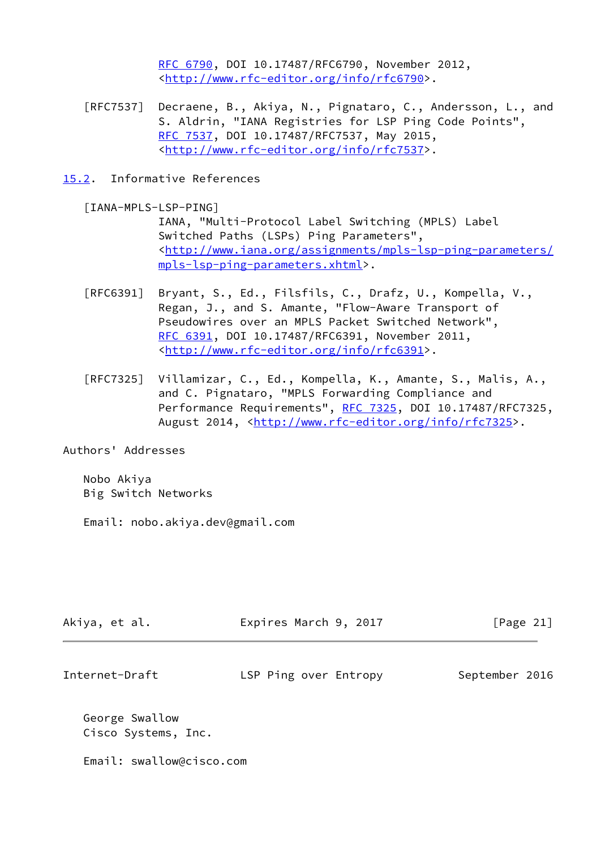[RFC 6790,](https://datatracker.ietf.org/doc/pdf/rfc6790) DOI 10.17487/RFC6790, November 2012, <<http://www.rfc-editor.org/info/rfc6790>>.

- [RFC7537] Decraene, B., Akiya, N., Pignataro, C., Andersson, L., and S. Aldrin, "IANA Registries for LSP Ping Code Points", [RFC 7537,](https://datatracker.ietf.org/doc/pdf/rfc7537) DOI 10.17487/RFC7537, May 2015, <<http://www.rfc-editor.org/info/rfc7537>>.
- <span id="page-23-0"></span>[15.2](#page-23-0). Informative References

<span id="page-23-1"></span>[IANA-MPLS-LSP-PING]

 IANA, "Multi-Protocol Label Switching (MPLS) Label Switched Paths (LSPs) Ping Parameters", <[http://www.iana.org/assignments/mpls-lsp-ping-parameters/](http://www.iana.org/assignments/mpls-lsp-ping-parameters/mpls-lsp-ping-parameters.xhtml) [mpls-lsp-ping-parameters.xhtml](http://www.iana.org/assignments/mpls-lsp-ping-parameters/mpls-lsp-ping-parameters.xhtml)>.

- [RFC6391] Bryant, S., Ed., Filsfils, C., Drafz, U., Kompella, V., Regan, J., and S. Amante, "Flow-Aware Transport of Pseudowires over an MPLS Packet Switched Network", [RFC 6391,](https://datatracker.ietf.org/doc/pdf/rfc6391) DOI 10.17487/RFC6391, November 2011, <<http://www.rfc-editor.org/info/rfc6391>>.
- [RFC7325] Villamizar, C., Ed., Kompella, K., Amante, S., Malis, A., and C. Pignataro, "MPLS Forwarding Compliance and Performance Requirements", [RFC 7325](https://datatracker.ietf.org/doc/pdf/rfc7325), DOI 10.17487/RFC7325, August 2014, [<http://www.rfc-editor.org/info/rfc7325](http://www.rfc-editor.org/info/rfc7325)>.

Authors' Addresses

 Nobo Akiya Big Switch Networks

Email: nobo.akiya.dev@gmail.com

| Akiya, et al.                         | Expires March 9, 2017 | [Page 21]      |
|---------------------------------------|-----------------------|----------------|
| Internet-Draft                        | LSP Ping over Entropy | September 2016 |
| George Swallow<br>Cisco Systems, Inc. |                       |                |

Email: swallow@cisco.com